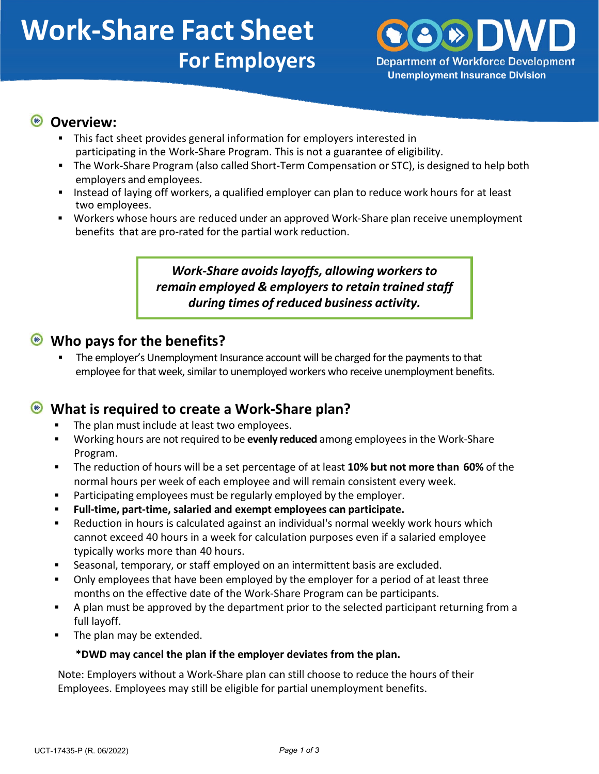# **Work‐Share Fact Sheet For Employers**



## **Overview:**

- This fact sheet provides general information for employers interested in participating in the Work‐Share Program. This is not a guarantee of eligibility.
- The Work-Share Program (also called Short-Term Compensation or STC), is designed to help both employers and employees.
- **Instead of laying off workers, a qualified employer can plan to reduce work hours for at least** two employees.
- Workers whose hours are reduced under an approved Work-Share plan receive unemployment benefits that are pro-rated for the partial work reduction.

#### *Work‐Share avoidslayoffs, allowing workersto remain employed & employers to retain trained staff during times of reduced business activity.*

#### **Who pays for the benefits?**

 The employer's Unemployment Insurance account will be charged for the payments to that employee for that week, similar to unemployed workers who receive unemployment benefits.

# **What is required to create a Work-Share plan?**

- The plan must include at least two employees.
- Working hours are not required to be **evenly reduced** among employees in the Work‐Share Program.
- The reduction of hours will be a set percentage of at least **10% but not more than 60%** of the normal hours per week of each employee and will remain consistent every week.
- Participating employees must be regularly employed by the employer.
- **Full-time, part-time, salaried and exempt employees can participate.**
- Reduction in hours is calculated against an individual's normal weekly work hours which cannot exceed 40 hours in a week for calculation purposes even if a salaried employee typically works more than 40 hours.
- Seasonal, temporary, or staff employed on an intermittent basis are excluded.
- Only employees that have been employed by the employer for a period of at least three months on the effective date of the Work‐Share Program can be participants.
- A plan must be approved by the department prior to the selected participant returning from a full layoff.
- The plan may be extended.

#### **\*DWD may cancel the plan if the employer deviates from the plan.**

Note: Employers without a Work-Share plan can still choose to reduce the hours of their Employees. Employees may still be eligible for partial unemployment benefits.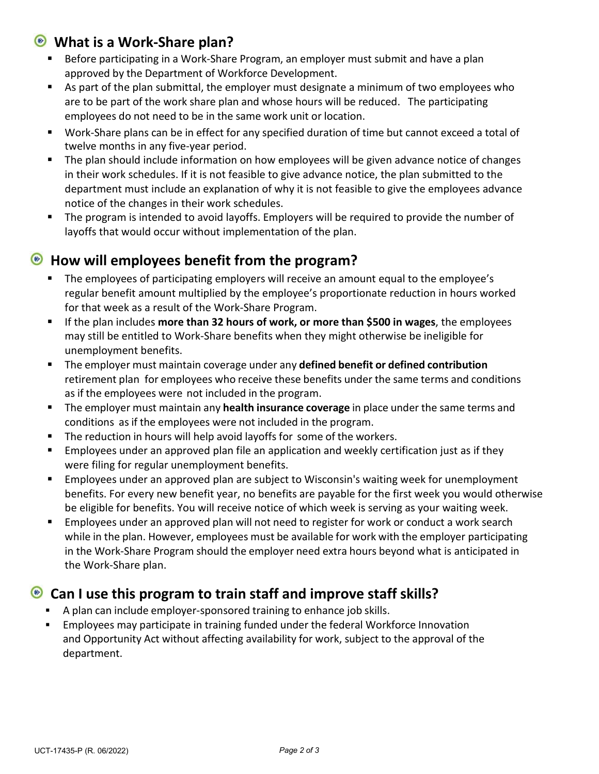# **What is a Work-Share plan?**

- Before participating in a Work-Share Program, an employer must submit and have a plan approved by the Department of Workforce Development.
- As part of the plan submittal, the employer must designate a minimum of two employees who are to be part of the work share plan and whose hours will be reduced. The participating employees do not need to be in the same work unit or location.
- Work-Share plans can be in effect for any specified duration of time but cannot exceed a total of twelve months in any five-year period.
- **The plan should include information on how employees will be given advance notice of changes** in their work schedules. If it is not feasible to give advance notice, the plan submitted to the department must include an explanation of why it is not feasible to give the employees advance notice of the changes in their work schedules.
- The program is intended to avoid layoffs. Employers will be required to provide the number of layoffs that would occur without implementation of the plan.

# **How will employees benefit from the program?**

- **The employees of participating employers will receive an amount equal to the employee's** regular benefit amount multiplied by the employee's proportionate reduction in hours worked for that week as a result of the Work‐Share Program.
- If the plan includes **more than 32 hours of work, or more than \$500 in wages**, the employees may still be entitled to Work‐Share benefits when they might otherwise be ineligible for unemployment benefits.
- The employer must maintain coverage under any **defined benefit or defined contribution** retirement plan for employees who receive these benefits under the same terms and conditions as if the employees were not included in the program.
- The employer must maintain any **health insurance coverage** in place under the same terms and conditions as if the employees were not included in the program.
- The reduction in hours will help avoid layoffs for some of the workers.
- **Employees under an approved plan file an application and weekly certification just as if they** were filing for regular unemployment benefits.
- Employees under an approved plan are subject to Wisconsin's waiting week for unemployment benefits. For every new benefit year, no benefits are payable for the first week you would otherwise be eligible for benefits. You will receive notice of which week is serving as your waiting week.
- **Employees under an approved plan will not need to register for work or conduct a work search** while in the plan. However, employees must be available for work with the employer participating in the Work‐Share Program should the employer need extra hours beyond what is anticipated in the Work‐Share plan.

# **Can I use this program to train staff and improve staff skills?**

- A plan can include employer-sponsored training to enhance job skills.
- Employees may participate in training funded under the federal Workforce Innovation and Opportunity Act without affecting availability for work, subject to the approval of the department.